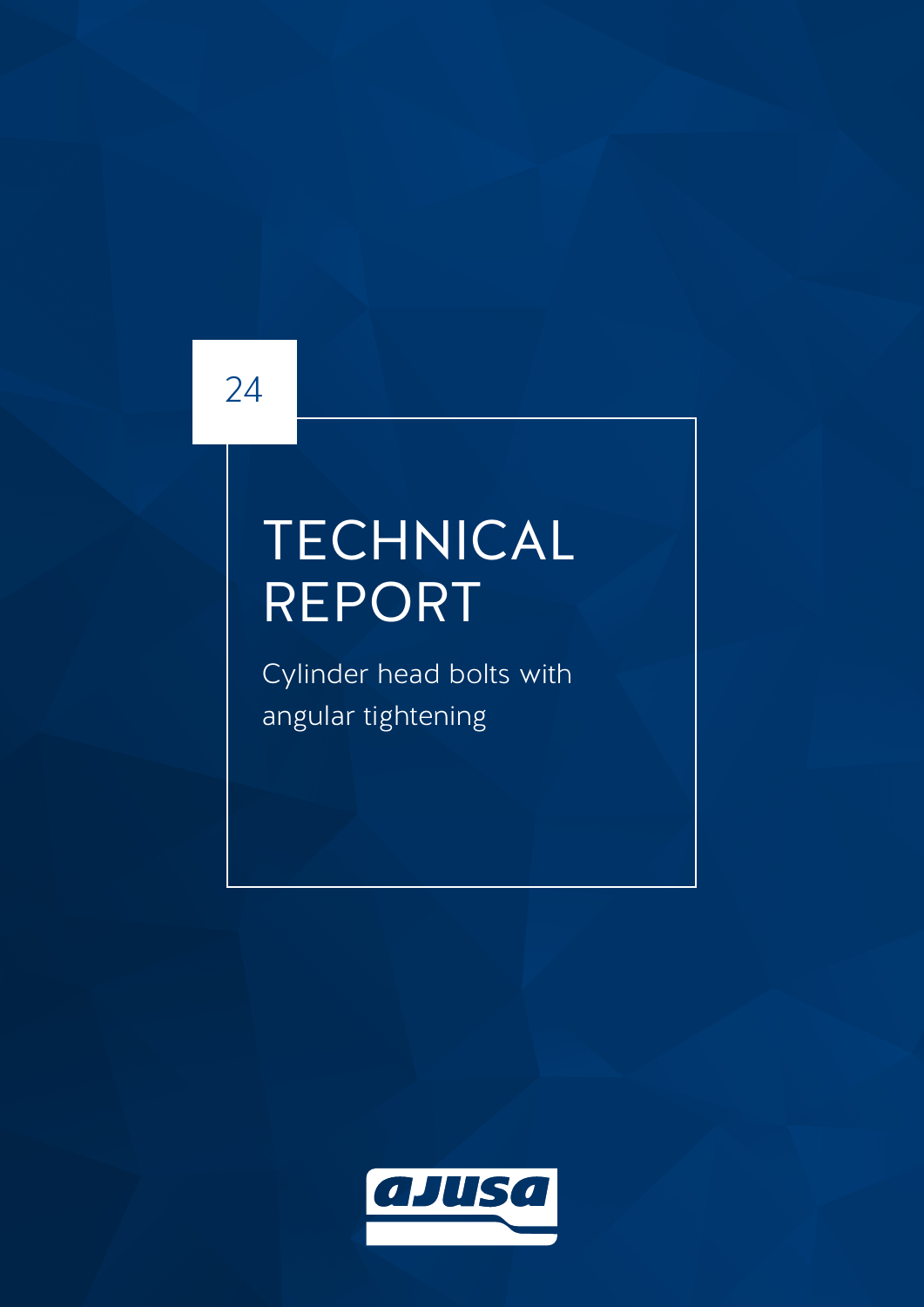## 24

# TECHNICAL REPORT

Cylinder head bolts with angular tightening

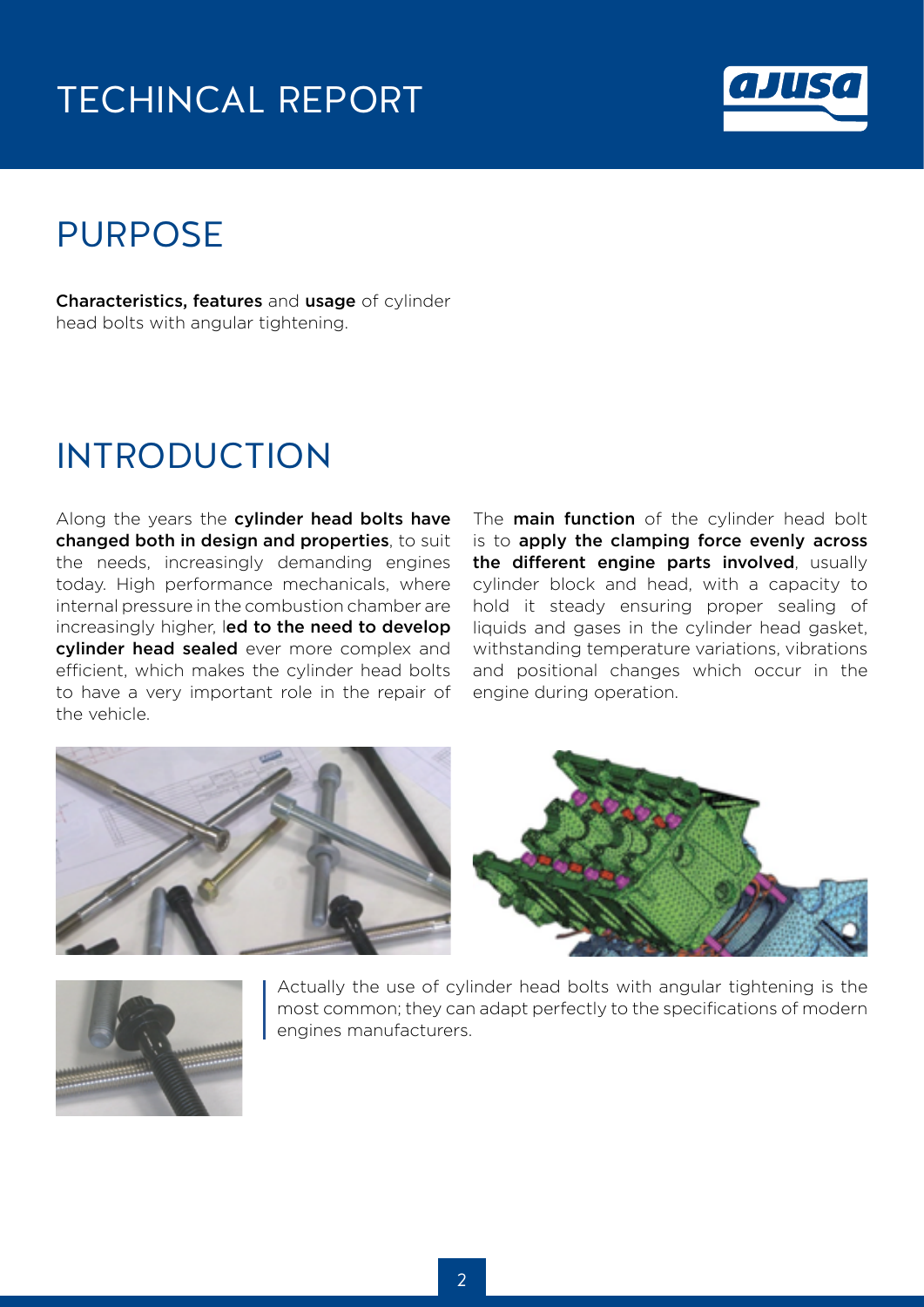#### TECHINCAL REPORT



#### PURPOSE

Characteristics, features and usage of cylinder head bolts with angular tightening.

#### INTRODUCTION

Along the years the cylinder head bolts have changed both in design and properties, to suit the needs, increasingly demanding engines today. High performance mechanicals, where internal pressure in the combustion chamber are increasingly higher, led to the need to develop cylinder head sealed ever more complex and efficient, which makes the cylinder head bolts to have a very important role in the repair of the vehicle.

The **main function** of the cylinder head bolt is to apply the clamping force evenly across the different engine parts involved, usually cylinder block and head, with a capacity to hold it steady ensuring proper sealing of liquids and gases in the cylinder head gasket, withstanding temperature variations, vibrations and positional changes which occur in the engine during operation.





Actually the use of cylinder head bolts with angular tightening is the most common; they can adapt perfectly to the specifications of modern engines manufacturers.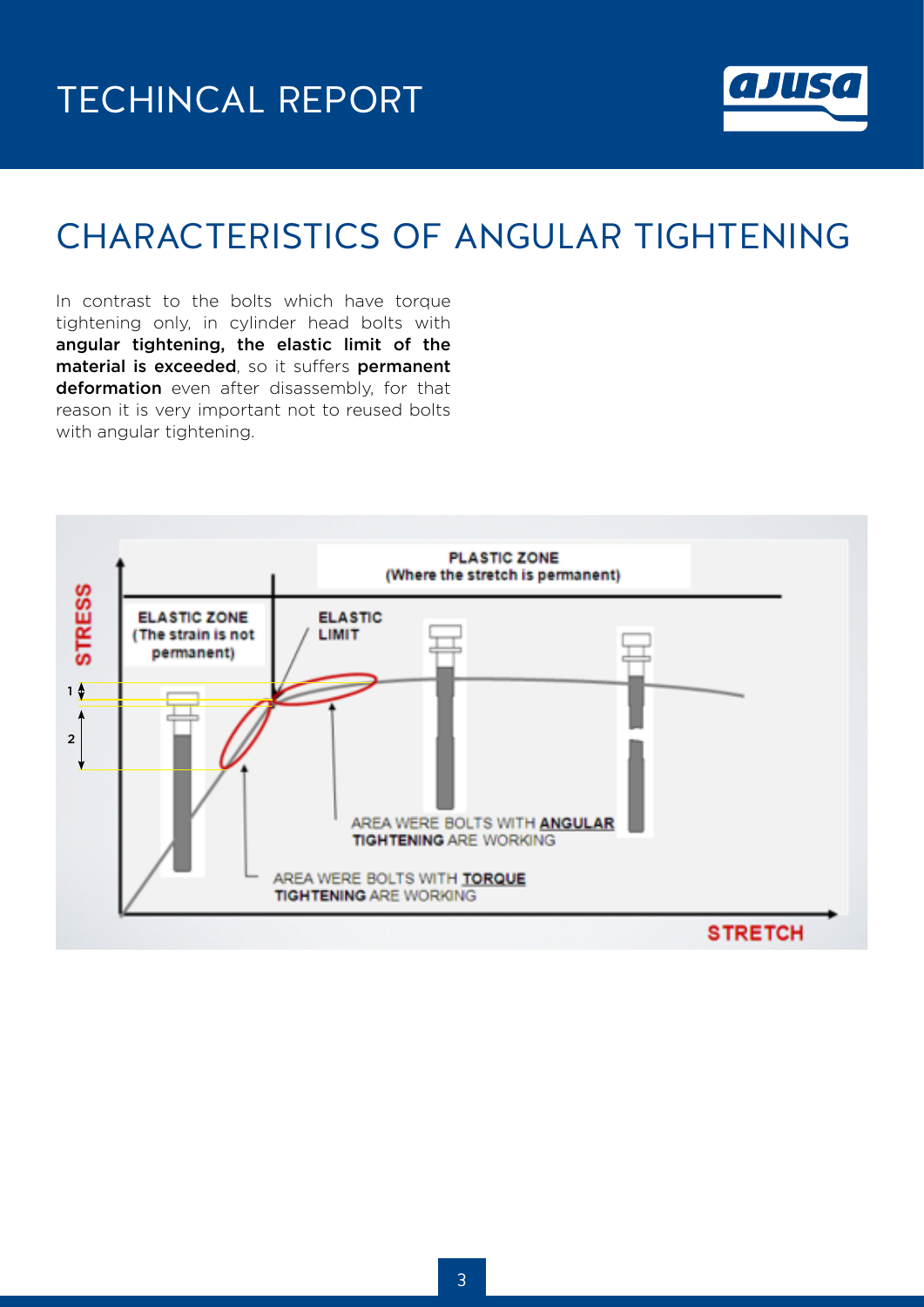

### CHARACTERISTICS OF ANGULAR TIGHTENING

In contrast to the bolts which have torque tightening only, in cylinder head bolts with angular tightening, the elastic limit of the material is exceeded, so it suffers permanent deformation even after disassembly, for that reason it is very important not to reused bolts with angular tightening.

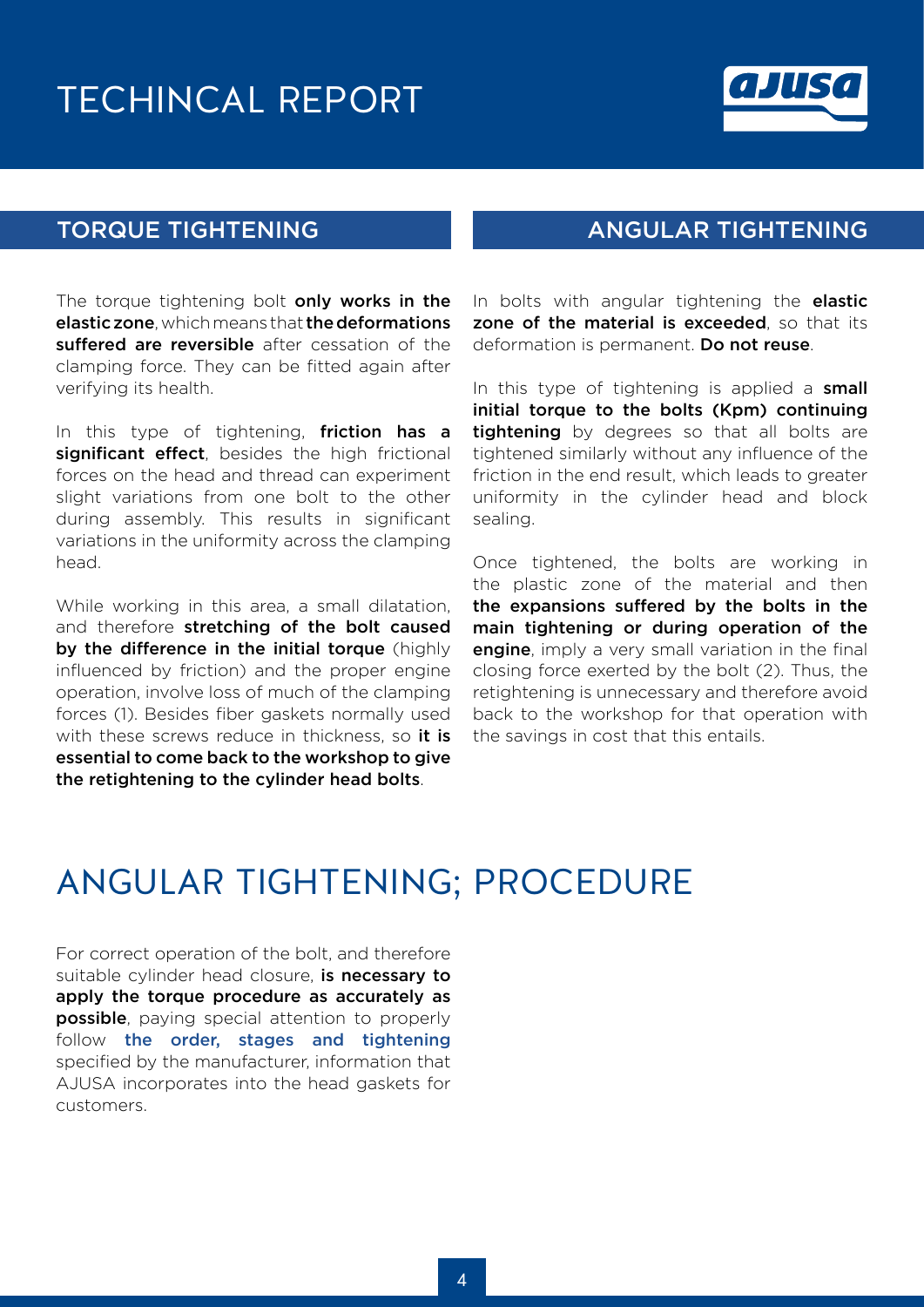#### TECHINCAL REPORT



The torque tightening bolt only works in the elastic zone, which means that the deformations suffered are reversible after cessation of the clamping force. They can be fitted again after verifying its health.

In this type of tightening, friction has a significant effect, besides the high frictional forces on the head and thread can experiment slight variations from one bolt to the other during assembly. This results in significant variations in the uniformity across the clamping head.

While working in this area, a small dilatation, and therefore stretching of the bolt caused by the difference in the initial torque (highly influenced by friction) and the proper engine operation, involve loss of much of the clamping forces (1). Besides fiber gaskets normally used with these screws reduce in thickness, so **it is** essential to come back to the workshop to give the retightening to the cylinder head bolts.

#### TORQUE TIGHTENING ANGULAR TIGHTENING

In bolts with angular tightening the **elastic** zone of the material is exceeded, so that its deformation is permanent. Do not reuse.

In this type of tightening is applied a small initial torque to the bolts (Kpm) continuing tightening by degrees so that all bolts are tightened similarly without any influence of the friction in the end result, which leads to greater uniformity in the cylinder head and block sealing.

Once tightened, the bolts are working in the plastic zone of the material and then the expansions suffered by the bolts in the main tightening or during operation of the **engine**, imply a very small variation in the final closing force exerted by the bolt (2). Thus, the retightening is unnecessary and therefore avoid back to the workshop for that operation with the savings in cost that this entails.

#### ANGULAR TIGHTENING; PROCEDURE

For correct operation of the bolt, and therefore suitable cylinder head closure, is necessary to apply the torque procedure as accurately as **possible**, paying special attention to properly follow the order, stages and tightening specified by the manufacturer, information that AJUSA incorporates into the head gaskets for customers.